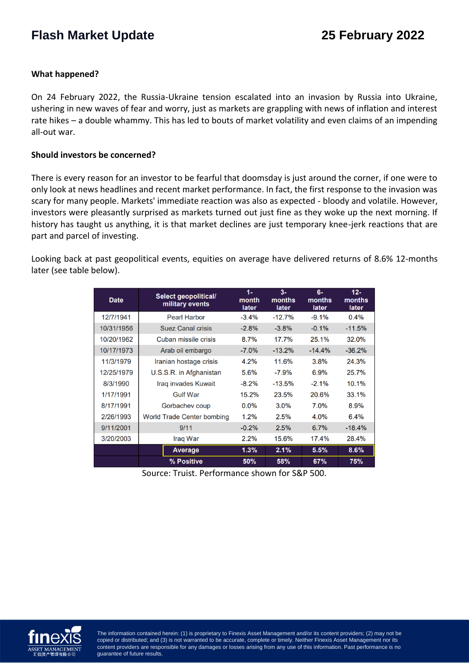# **Flash Market Update 25 February 2022**

### **What happened?**

On 24 February 2022, the Russia-Ukraine tension escalated into an invasion by Russia into Ukraine, ushering in new waves of fear and worry, just as markets are grappling with news of inflation and interest rate hikes – a double whammy. This has led to bouts of market volatility and even claims of an impending all-out war.

#### **Should investors be concerned?**

There is every reason for an investor to be fearful that doomsday is just around the corner, if one were to only look at news headlines and recent market performance. In fact, the first response to the invasion was scary for many people. Markets' immediate reaction was also as expected - bloody and volatile. However, investors were pleasantly surprised as markets turned out just fine as they woke up the next morning. If history has taught us anything, it is that market declines are just temporary knee-jerk reactions that are part and parcel of investing.

Looking back at past geopolitical events, equities on average have delivered returns of 8.6% 12-months later (see table below).

| <b>Date</b> | Select geopolitical/<br>military events | $1 -$<br>month<br>later | $3-$<br>months<br>later | $6-$<br>months<br>later | $12 -$<br>months<br>later |
|-------------|-----------------------------------------|-------------------------|-------------------------|-------------------------|---------------------------|
| 12/7/1941   | <b>Pearl Harbor</b>                     | $-3.4%$                 | $-12.7%$                | $-9.1%$                 | $0.4\%$                   |
| 10/31/1956  | <b>Suez Canal crisis</b>                | $-2.8%$                 | $-3.8%$                 | $-0.1%$                 | $-11.5%$                  |
| 10/20/1962  | Cuban missile crisis                    | 8.7%                    | 17.7%                   | 25.1%                   | 32.0%                     |
| 10/17/1973  | Arab oil embargo                        | $-7.0%$                 | $-13.2%$                | $-14.4%$                | $-36.2%$                  |
| 11/3/1979   | Iranian hostage crisis                  | 4.2%                    | 11.6%                   | 3.8%                    | 24.3%                     |
| 12/25/1979  | U.S.S.R. in Afghanistan                 | 5.6%                    | $-7.9%$                 | 6.9%                    | 25.7%                     |
| 8/3/1990    | <b>Irag invades Kuwait</b>              | $-8.2%$                 | $-13.5%$                | $-2.1%$                 | 10.1%                     |
| 1/17/1991   | <b>Gulf War</b>                         | 15.2%                   | 23.5%                   | 20.6%                   | 33.1%                     |
| 8/17/1991   | Gorbachev coup                          | $0.0\%$                 | 3.0%                    | 7.0%                    | 8.9%                      |
| 2/26/1993   | World Trade Center bombing              | 1.2%                    | 2.5%                    | 4.0%                    | 6.4%                      |
| 9/11/2001   | 9/11                                    | $-0.2%$                 | 2.5%                    | 6.7%                    | $-18.4%$                  |
| 3/20/2003   | Iraq War                                | 2.2%                    | 15.6%                   | 17.4%                   | 28.4%                     |
|             | <b>Average</b>                          | 1.3%                    | 2.1%                    | 5.5%                    | 8.6%                      |
|             | % Positive                              | 50%                     | 58%                     | 67%                     | 75%                       |

Source: Truist. Performance shown for S&P 500.



copied or distributed; and (3) is not warranted to be accurate, complete or timely. Neither Finexis Asset Management nor its copied or distributed; and (3) is not warranted to be accurate, complete or timely. Neither Finex  $\epsilon$  point warranted to be accurated to be accurated to be accurated to be accurated to be accurated to be accurated to be accurated to be accurated to be accurated to be accurated to be accurated to be accurated to be ac content providers are responsible for any damages or losses arising from any use of this information. Past performance is no<br>quarantee of future results The information contained herein: (1) is proprietary to Finexis Asset Management and/or its content providers; (2) may not be guarantee of future results.